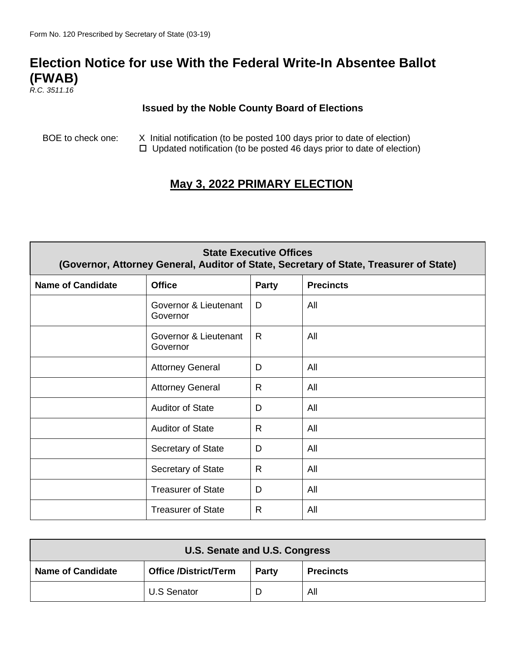## **Election Notice for use With the Federal Write-In Absentee Ballot (FWAB)**

*R.C. 3511.16*

## **Issued by the Noble County Board of Elections**

BOE to check one: X Initial notification (to be posted 100 days prior to date of election)  $\Box$  Updated notification (to be posted 46 days prior to date of election)

## **May 3, 2022 PRIMARY ELECTION**

| <b>State Executive Offices</b><br>(Governor, Attorney General, Auditor of State, Secretary of State, Treasurer of State) |                                   |              |                  |
|--------------------------------------------------------------------------------------------------------------------------|-----------------------------------|--------------|------------------|
| <b>Name of Candidate</b>                                                                                                 | <b>Office</b>                     | <b>Party</b> | <b>Precincts</b> |
|                                                                                                                          | Governor & Lieutenant<br>Governor | D            | All              |
|                                                                                                                          | Governor & Lieutenant<br>Governor | $\mathsf{R}$ | All              |
|                                                                                                                          | <b>Attorney General</b>           | D            | All              |
|                                                                                                                          | <b>Attorney General</b>           | R            | All              |
|                                                                                                                          | <b>Auditor of State</b>           | D            | All              |
|                                                                                                                          | <b>Auditor of State</b>           | R.           | All              |
|                                                                                                                          | Secretary of State                | D            | All              |
|                                                                                                                          | Secretary of State                | $\mathsf{R}$ | All              |
|                                                                                                                          | <b>Treasurer of State</b>         | D            | All              |
|                                                                                                                          | <b>Treasurer of State</b>         | $\mathsf{R}$ | All              |

| U.S. Senate and U.S. Congress                                                                |                    |  |     |
|----------------------------------------------------------------------------------------------|--------------------|--|-----|
| <b>Office /District/Term</b><br><b>Name of Candidate</b><br><b>Precincts</b><br><b>Party</b> |                    |  |     |
|                                                                                              | <b>U.S Senator</b> |  | All |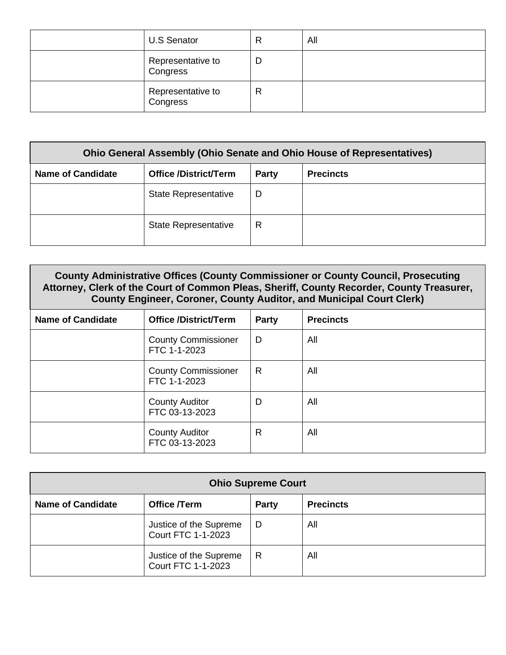| <b>U.S Senator</b>            | R | All |
|-------------------------------|---|-----|
| Representative to<br>Congress |   |     |
| Representative to<br>Congress | R |     |

| <b>Ohio General Assembly (Ohio Senate and Ohio House of Representatives)</b> |                              |              |                  |
|------------------------------------------------------------------------------|------------------------------|--------------|------------------|
| <b>Name of Candidate</b>                                                     | <b>Office /District/Term</b> | <b>Party</b> | <b>Precincts</b> |
|                                                                              | <b>State Representative</b>  | D            |                  |
|                                                                              | <b>State Representative</b>  | R            |                  |

| County Administrative Offices (County Commissioner or County Council, Prosecuting<br>Attorney, Clerk of the Court of Common Pleas, Sheriff, County Recorder, County Treasurer,<br><b>County Engineer, Coroner, County Auditor, and Municipal Court Clerk)</b> |                                                           |   |     |  |  |
|---------------------------------------------------------------------------------------------------------------------------------------------------------------------------------------------------------------------------------------------------------------|-----------------------------------------------------------|---|-----|--|--|
| <b>Name of Candidate</b>                                                                                                                                                                                                                                      | <b>Office /District/Term</b><br><b>Precincts</b><br>Party |   |     |  |  |
|                                                                                                                                                                                                                                                               | <b>County Commissioner</b><br>FTC 1-1-2023                | D | All |  |  |
|                                                                                                                                                                                                                                                               | <b>County Commissioner</b><br>FTC 1-1-2023                | R | All |  |  |
|                                                                                                                                                                                                                                                               | <b>County Auditor</b><br>FTC 03-13-2023                   | D | All |  |  |
|                                                                                                                                                                                                                                                               | <b>County Auditor</b><br>FTC 03-13-2023                   | R | All |  |  |

| <b>Ohio Supreme Court</b> |                                                     |              |                  |
|---------------------------|-----------------------------------------------------|--------------|------------------|
| <b>Name of Candidate</b>  | Office /Term                                        | <b>Party</b> | <b>Precincts</b> |
|                           | Justice of the Supreme<br><b>Court FTC 1-1-2023</b> | D            | All              |
|                           | Justice of the Supreme<br><b>Court FTC 1-1-2023</b> | R            | All              |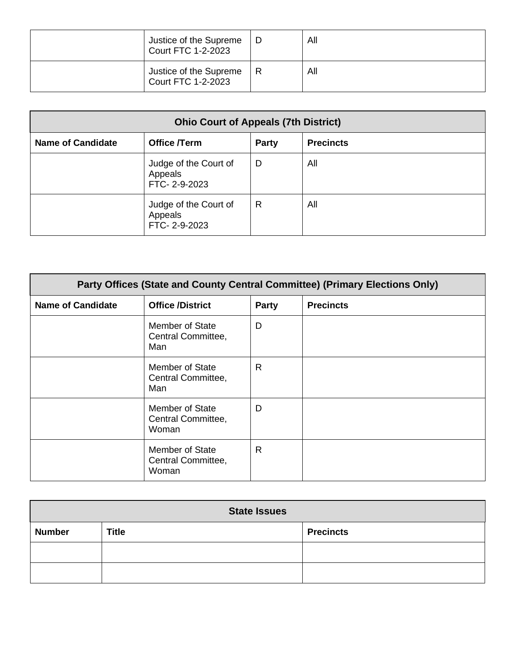| Justice of the Supreme<br><b>Court FTC 1-2-2023</b> | All |
|-----------------------------------------------------|-----|
| Justice of the Supreme<br><b>Court FTC 1-2-2023</b> | All |

| <b>Ohio Court of Appeals (7th District)</b> |                                                  |              |                  |
|---------------------------------------------|--------------------------------------------------|--------------|------------------|
| <b>Name of Candidate</b>                    | Office /Term                                     | <b>Party</b> | <b>Precincts</b> |
|                                             | Judge of the Court of<br>Appeals<br>FTC-2-9-2023 | D            | All              |
|                                             | Judge of the Court of<br>Appeals<br>FTC-2-9-2023 | R            | All              |

| Party Offices (State and County Central Committee) (Primary Elections Only) |                                                       |              |                  |
|-----------------------------------------------------------------------------|-------------------------------------------------------|--------------|------------------|
| <b>Name of Candidate</b>                                                    | <b>Office /District</b>                               | <b>Party</b> | <b>Precincts</b> |
|                                                                             | Member of State<br>Central Committee,<br>Man          | D            |                  |
|                                                                             | Member of State<br>Central Committee,<br>Man          | R.           |                  |
|                                                                             | Member of State<br>Central Committee,<br>Woman        | D            |                  |
|                                                                             | <b>Member of State</b><br>Central Committee,<br>Woman | R            |                  |

| <b>State Issues</b> |              |                  |  |
|---------------------|--------------|------------------|--|
| <b>Number</b>       | <b>Title</b> | <b>Precincts</b> |  |
|                     |              |                  |  |
|                     |              |                  |  |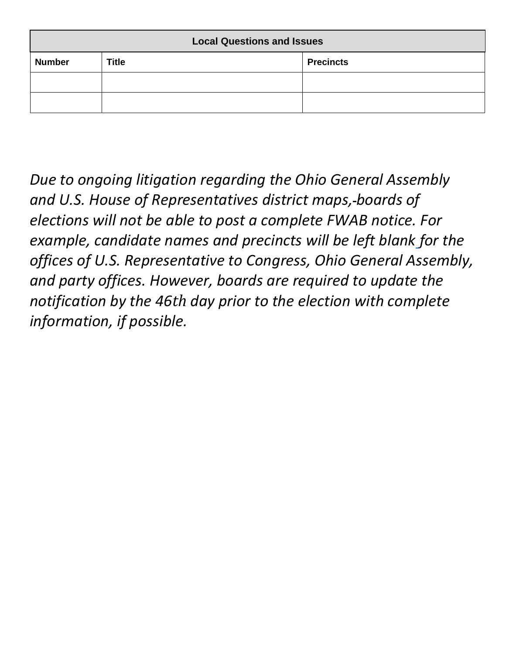| <b>Local Questions and Issues</b> |              |                  |  |
|-----------------------------------|--------------|------------------|--|
| <b>Number</b>                     | <b>Title</b> | <b>Precincts</b> |  |
|                                   |              |                  |  |
|                                   |              |                  |  |

*Due to ongoing litigation regarding the Ohio General Assembly and U.S. House of Representatives district maps, boards of elections will not be able to post a complete FWAB notice. For example, candidate names and precincts will be left blank for the offices of U.S. Representative to Congress, Ohio General Assembly, and party offices. However, boards are required to update the notification by the 46th day prior to the election with complete information, if possible.*